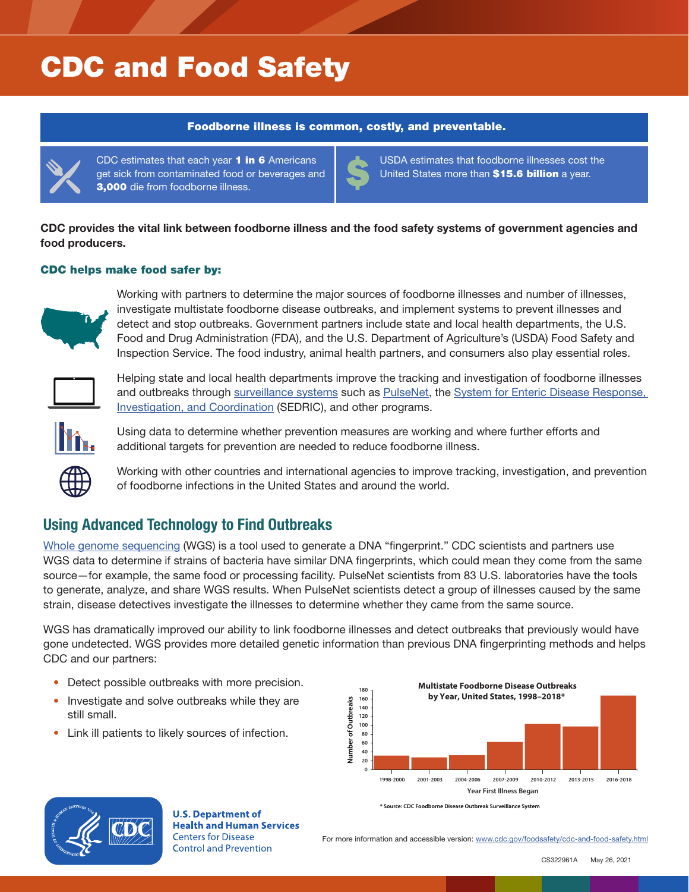# CDC and Food Safety

#### Foodborne illness is common, costly, and preventable.



CDC estimates that each year 1 in 6 Americans get sick from contaminated food or beverages and 3,000 die from foodborne illness.

USDA estimates that foodborne illnesses cost the United States more than \$15.6 billion a year.

CDC provides the vital link between foodborne illness and the food safety systems of government agencies and food producers.

### CDC helps make food safer by:



Working with partners to determine the major sources of foodborne illnesses and number of illnesses, investigate multistate foodborne disease outbreaks, and implement systems to prevent illnesses and detect and stop outbreaks. Government partners include state and local health departments, the U.S. Food and Drug Administration (FDA), and the U.S. Department of Agriculture's (USDA) Food Safety and Inspection Service. The food industry, animal health partners, and consumers also play essential roles.



Helping state and local health departments improve the tracking and investigation of foodborne illnesses and outbreaks through [surveillance systems](https://www.cdc.gov/ncezid/dfwed/keyprograms/surveillance.html) such as [PulseNet](https://www.cdc.gov/pulsenet/index.html), the [System for Enteric Disease Response,](https://www.cdc.gov/foodsafety/outbreaks/investigating-outbreaks/sedric.html)  [Investigation, and Coordination](https://www.cdc.gov/foodsafety/outbreaks/investigating-outbreaks/sedric.html) (SEDRIC), and other programs.



Using data to determine whether prevention measures are working and where further efforts and additional targets for prevention are needed to reduce foodborne illness.



Working with other countries and international agencies to improve tracking, investigation, and prevention of foodborne infections in the United States and around the world.

## Using Advanced Technology to Find Outbreaks

[Whole genome sequencing](https://www.cdc.gov/ncezid/dfwed/keyprograms/tracking-foodborne-illness-wgs.html) (WGS) is a tool used to generate a DNA "fingerprint." CDC scientists and partners use WGS data to determine if strains of bacteria have similar DNA fingerprints, which could mean they come from the same source—for example, the same food or processing facility. PulseNet scientists from 83 U.S. laboratories have the tools to generate, analyze, and share WGS results. When PulseNet scientists detect a group of illnesses caused by the same strain, disease detectives investigate the illnesses to determine whether they came from the same source.

WGS has dramatically improved our ability to link foodborne illnesses and detect outbreaks that previously would have gone undetected. WGS provides more detailed genetic information than previous DNA fingerprinting methods and helps CDC and our partners:

- Detect possible outbreaks with more precision.
- Investigate and solve outbreaks while they are still small.
- Link ill patients to likely sources of infection.





**U.S. Department of Health and Human Services Centers for Disease Control and Prevention** 

For more information and accessible version: <www.cdc.gov/foodsafety/cdc-and-food-safety.html>